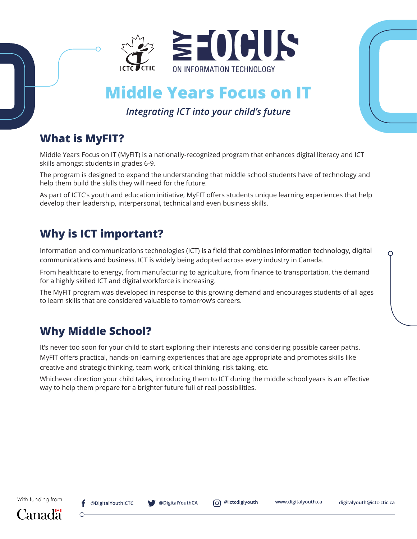

# **Middle Years Focus on IT**

#### *Integrating ICT into your child's future*

### **What is MyFIT?**

Middle Years Focus on IT (MyFIT) is a nationally-recognized program that enhances digital literacy and ICT skills amongst students in grades 6-9.

The program is designed to expand the understanding that middle school students have of technology and help them build the skills they will need for the future.

As part of ICTC's youth and education initiative, MyFIT offers students unique learning experiences that help develop their leadership, interpersonal, technical and even business skills.

# **Why is ICT important?**

Information and communications technologies (ICT) is a field that combines information technology, digital communications and business. ICT is widely being adopted across every industry in Canada.

From healthcare to energy, from manufacturing to agriculture, from finance to transportation, the demand for a highly skilled ICT and digital workforce is increasing.

The MyFIT program was developed in response to this growing demand and encourages students of all ages to learn skills that are considered valuable to tomorrow's careers.

## **Why Middle School?**

It's never too soon for your child to start exploring their interests and considering possible career paths. MyFIT offers practical, hands-on learning experiences that are age appropriate and promotes skills like creative and strategic thinking, team work, critical thinking, risk taking, etc.

Whichever direction your child takes, introducing them to ICT during the middle school years is an effective way to help them prepare for a brighter future full of real possibilities.



 $\Omega$